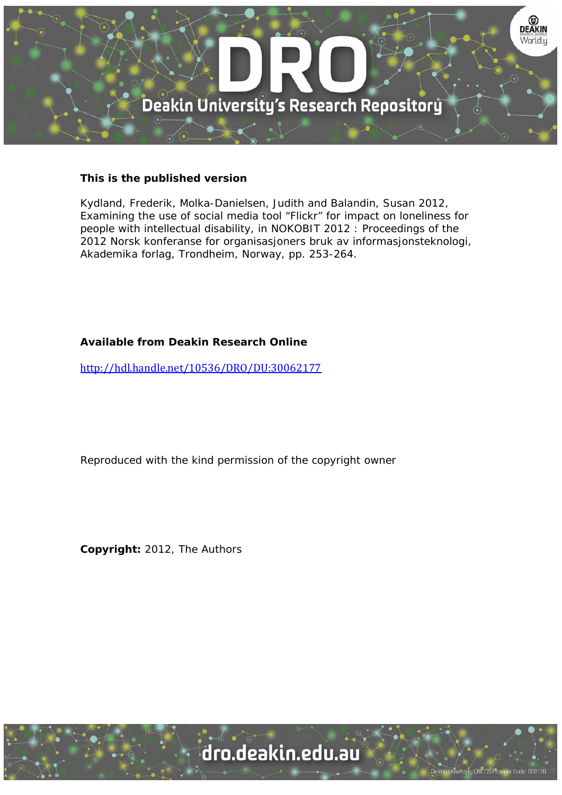

## **This is the published version**

Kydland, Frederik, Molka-Danielsen, Judith and Balandin, Susan 2012, Examining the use of social media tool "Flickr" for impact on loneliness for people with intellectual disability, in NOKOBIT 2012 : Proceedings of the 2012 Norsk konferanse for organisasjoners bruk av informasjonsteknologi, Akademika forlag, Trondheim, Norway, pp. 253-264.

# **Available from Deakin Research Online**

http://hdl.handle.net/10536/DRO/DU:30062177

Reproduced with the kind permission of the copyright owner

**Copyright:** 2012, The Authors

University CRICOS Provider Code: 00113B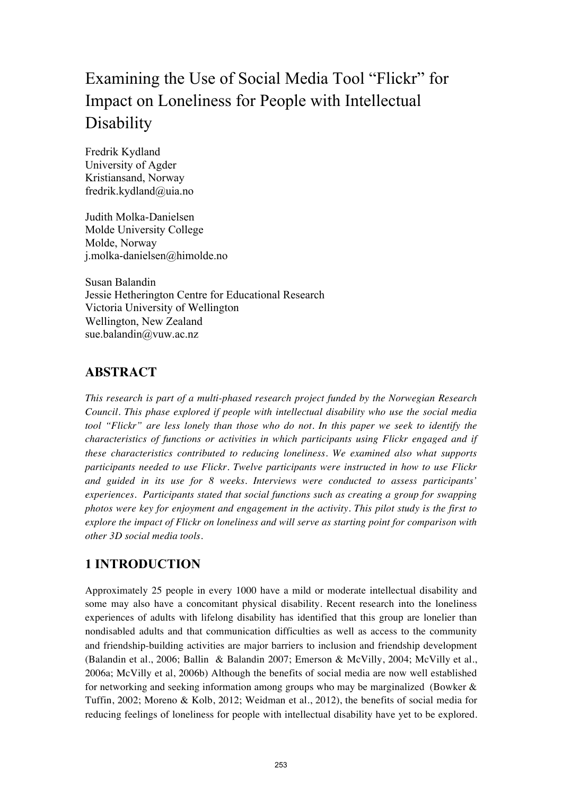# Examining the Use of Social Media Tool "Flickr" for Impact on Loneliness for People with Intellectual **Disability**

Fredrik Kydland University of Agder Kristiansand, Norway fredrik.kydland@uia.no

Judith Molka-Danielsen Molde University College Molde, Norway j.molka-danielsen@himolde.no

Susan Balandin Jessie Hetherington Centre for Educational Research Victoria University of Wellington Wellington, New Zealand sue.balandin@vuw.ac.nz

# **ABSTRACT**

*This research is part of a multi-phased research project funded by the Norwegian Research Council. This phase explored if people with intellectual disability who use the social media tool "Flickr" are less lonely than those who do not. In this paper we seek to identify the characteristics of functions or activities in which participants using Flickr engaged and if these characteristics contributed to reducing loneliness. We examined also what supports participants needed to use Flickr. Twelve participants were instructed in how to use Flickr and guided in its use for 8 weeks. Interviews were conducted to assess participants' experiences. Participants stated that social functions such as creating a group for swapping photos were key for enjoyment and engagement in the activity. This pilot study is the first to explore the impact of Flickr on loneliness and will serve as starting point for comparison with other 3D social media tools.* 

# **1 INTRODUCTION**

Approximately 25 people in every 1000 have a mild or moderate intellectual disability and some may also have a concomitant physical disability. Recent research into the loneliness experiences of adults with lifelong disability has identified that this group are lonelier than nondisabled adults and that communication difficulties as well as access to the community and friendship-building activities are major barriers to inclusion and friendship development (Balandin et al., 2006; Ballin & Balandin 2007; Emerson & McVilly, 2004; McVilly et al., 2006a; McVilly et al, 2006b) Although the benefits of social media are now well established for networking and seeking information among groups who may be marginalized (Bowker  $\&$ Tuffin, 2002; Moreno & Kolb, 2012; Weidman et al., 2012), the benefits of social media for reducing feelings of loneliness for people with intellectual disability have yet to be explored.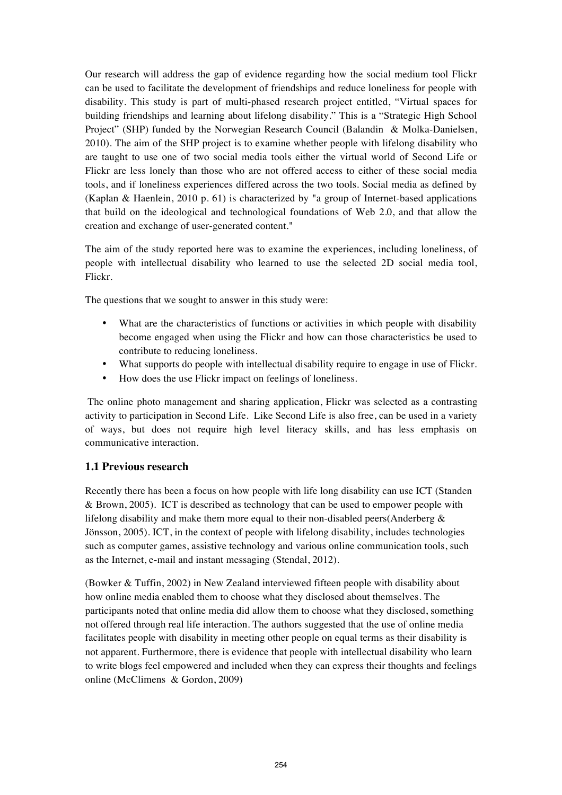Our research will address the gap of evidence regarding how the social medium tool Flickr can be used to facilitate the development of friendships and reduce loneliness for people with disability. This study is part of multi-phased research project entitled, "Virtual spaces for building friendships and learning about lifelong disability." This is a "Strategic High School Project" (SHP) funded by the Norwegian Research Council (Balandin & Molka-Danielsen, 2010). The aim of the SHP project is to examine whether people with lifelong disability who are taught to use one of two social media tools either the virtual world of Second Life or Flickr are less lonely than those who are not offered access to either of these social media tools, and if loneliness experiences differed across the two tools. Social media as defined by (Kaplan & Haenlein, 2010 p. 61) is characterized by "a group of Internet-based applications that build on the ideological and technological foundations of Web 2.0, and that allow the creation and exchange of user-generated content."

The aim of the study reported here was to examine the experiences, including loneliness, of people with intellectual disability who learned to use the selected 2D social media tool, Flickr.

The questions that we sought to answer in this study were:

- What are the characteristics of functions or activities in which people with disability become engaged when using the Flickr and how can those characteristics be used to contribute to reducing loneliness.
- What supports do people with intellectual disability require to engage in use of Flickr.
- How does the use Flickr impact on feelings of loneliness.

 The online photo management and sharing application, Flickr was selected as a contrasting activity to participation in Second Life. Like Second Life is also free, can be used in a variety of ways, but does not require high level literacy skills, and has less emphasis on communicative interaction.

#### **1.1 Previous research**

Recently there has been a focus on how people with life long disability can use ICT (Standen & Brown, 2005). ICT is described as technology that can be used to empower people with lifelong disability and make them more equal to their non-disabled peers(Anderberg & Jönsson, 2005). ICT, in the context of people with lifelong disability, includes technologies such as computer games, assistive technology and various online communication tools, such as the Internet, e-mail and instant messaging (Stendal, 2012).

(Bowker & Tuffin, 2002) in New Zealand interviewed fifteen people with disability about how online media enabled them to choose what they disclosed about themselves. The participants noted that online media did allow them to choose what they disclosed, something not offered through real life interaction. The authors suggested that the use of online media facilitates people with disability in meeting other people on equal terms as their disability is not apparent. Furthermore, there is evidence that people with intellectual disability who learn to write blogs feel empowered and included when they can express their thoughts and feelings online (McClimens & Gordon, 2009)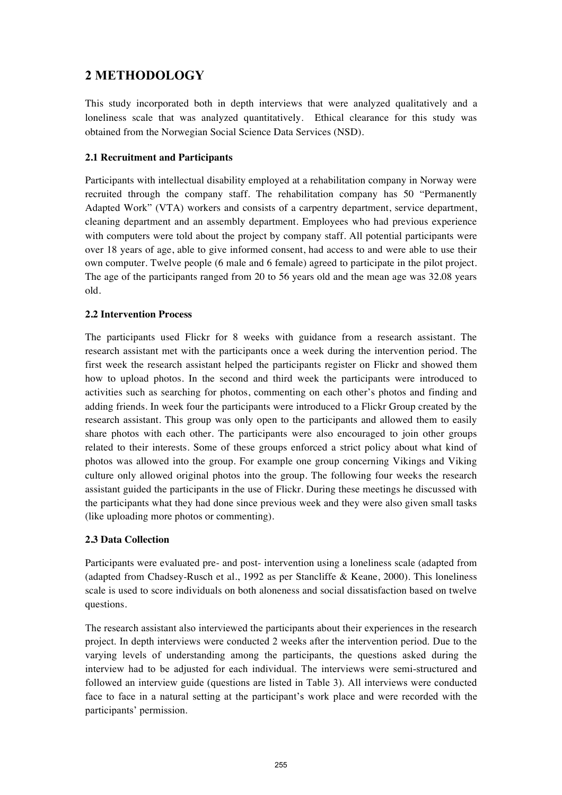# **2 METHODOLOGY**

This study incorporated both in depth interviews that were analyzed qualitatively and a loneliness scale that was analyzed quantitatively. Ethical clearance for this study was obtained from the Norwegian Social Science Data Services (NSD).

#### **2.1 Recruitment and Participants**

Participants with intellectual disability employed at a rehabilitation company in Norway were recruited through the company staff. The rehabilitation company has 50 "Permanently Adapted Work" (VTA) workers and consists of a carpentry department, service department, cleaning department and an assembly department. Employees who had previous experience with computers were told about the project by company staff. All potential participants were over 18 years of age, able to give informed consent, had access to and were able to use their own computer. Twelve people (6 male and 6 female) agreed to participate in the pilot project. The age of the participants ranged from 20 to 56 years old and the mean age was 32.08 years old.

#### **2.2 Intervention Process**

The participants used Flickr for 8 weeks with guidance from a research assistant. The research assistant met with the participants once a week during the intervention period. The first week the research assistant helped the participants register on Flickr and showed them how to upload photos. In the second and third week the participants were introduced to activities such as searching for photos, commenting on each other's photos and finding and adding friends. In week four the participants were introduced to a Flickr Group created by the research assistant. This group was only open to the participants and allowed them to easily share photos with each other. The participants were also encouraged to join other groups related to their interests. Some of these groups enforced a strict policy about what kind of photos was allowed into the group. For example one group concerning Vikings and Viking culture only allowed original photos into the group. The following four weeks the research assistant guided the participants in the use of Flickr. During these meetings he discussed with the participants what they had done since previous week and they were also given small tasks (like uploading more photos or commenting).

#### **2.3 Data Collection**

Participants were evaluated pre- and post- intervention using a loneliness scale (adapted from (adapted from Chadsey-Rusch et al., 1992 as per Stancliffe & Keane, 2000). This loneliness scale is used to score individuals on both aloneness and social dissatisfaction based on twelve questions.

The research assistant also interviewed the participants about their experiences in the research project. In depth interviews were conducted 2 weeks after the intervention period. Due to the varying levels of understanding among the participants, the questions asked during the interview had to be adjusted for each individual. The interviews were semi-structured and followed an interview guide (questions are listed in Table 3). All interviews were conducted face to face in a natural setting at the participant's work place and were recorded with the participants' permission.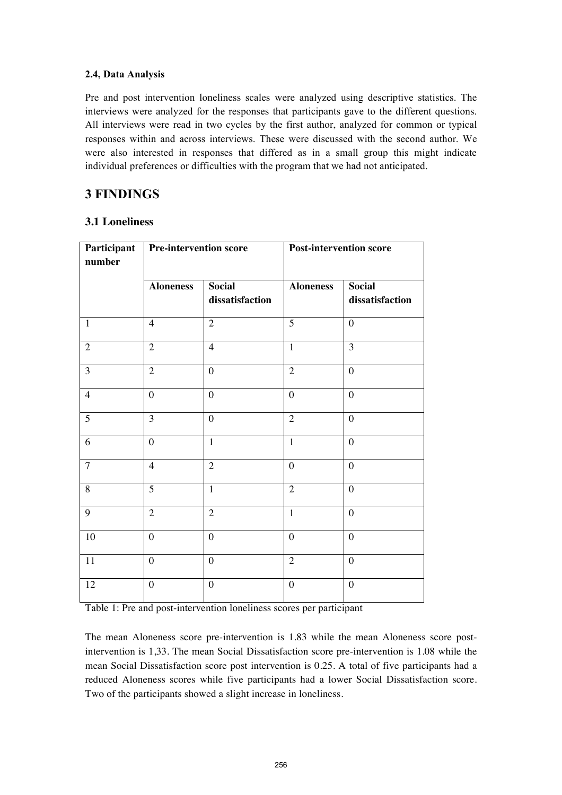#### **2.4, Data Analysis**

Pre and post intervention loneliness scales were analyzed using descriptive statistics. The interviews were analyzed for the responses that participants gave to the different questions. All interviews were read in two cycles by the first author, analyzed for common or typical responses within and across interviews. These were discussed with the second author. We were also interested in responses that differed as in a small group this might indicate individual preferences or difficulties with the program that we had not anticipated.

# **3 FINDINGS**

### **3.1 Loneliness**

| Participant<br>number | <b>Pre-intervention score</b> |                                  | <b>Post-intervention score</b> |                                  |
|-----------------------|-------------------------------|----------------------------------|--------------------------------|----------------------------------|
|                       | <b>Aloneness</b>              | <b>Social</b><br>dissatisfaction | <b>Aloneness</b>               | <b>Social</b><br>dissatisfaction |
| $\mathbf{1}$          | $\overline{4}$                | $\overline{2}$                   | $\overline{5}$                 | $\overline{0}$                   |
| $\overline{2}$        | $\overline{2}$                | $\overline{4}$                   | $\overline{1}$                 | $\overline{3}$                   |
| $\overline{3}$        | $\overline{2}$                | $\overline{0}$                   | $\overline{2}$                 | $\overline{0}$                   |
| $\overline{4}$        | $\overline{0}$                | $\overline{0}$                   | $\overline{0}$                 | $\overline{0}$                   |
| $\overline{5}$        | $\overline{3}$                | $\overline{0}$                   | $\overline{2}$                 | $\overline{0}$                   |
| 6                     | $\overline{0}$                | $\mathbf{1}$                     | $\mathbf{1}$                   | $\overline{0}$                   |
| $\overline{7}$        | $\overline{4}$                | $\overline{2}$                   | $\theta$                       | $\theta$                         |
| 8                     | $\overline{5}$                | $\mathbf{1}$                     | $\overline{2}$                 | $\overline{0}$                   |
| 9                     | $\overline{2}$                | $\overline{2}$                   | $\mathbf{1}$                   | $\overline{0}$                   |
| $10\,$                | $\boldsymbol{0}$              | $\boldsymbol{0}$                 | $\boldsymbol{0}$               | $\boldsymbol{0}$                 |
| 11                    | $\boldsymbol{0}$              | $\overline{0}$                   | $\overline{2}$                 | $\overline{0}$                   |
| 12                    | $\boldsymbol{0}$              | $\boldsymbol{0}$                 | $\boldsymbol{0}$               | $\boldsymbol{0}$                 |

Table 1: Pre and post-intervention loneliness scores per participant

The mean Aloneness score pre-intervention is 1.83 while the mean Aloneness score postintervention is 1,33. The mean Social Dissatisfaction score pre-intervention is 1.08 while the mean Social Dissatisfaction score post intervention is 0.25. A total of five participants had a reduced Aloneness scores while five participants had a lower Social Dissatisfaction score. Two of the participants showed a slight increase in loneliness.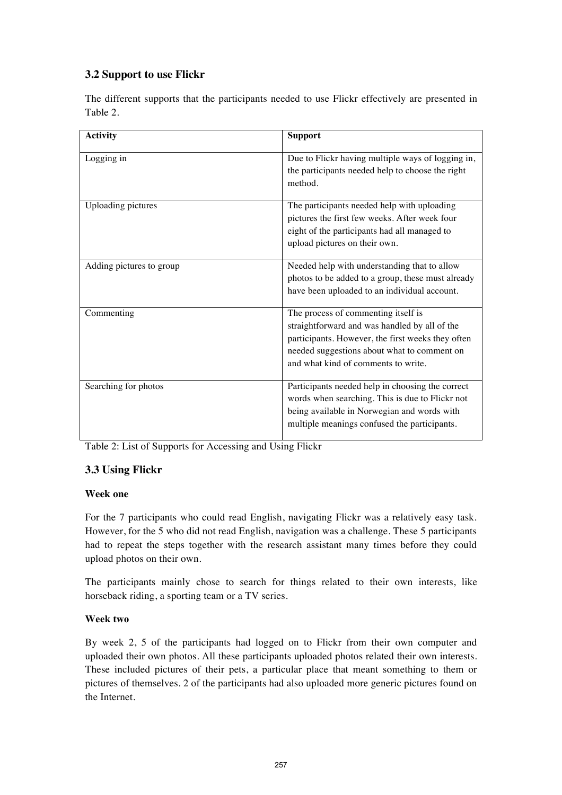# **3.2 Support to use Flickr**

The different supports that the participants needed to use Flickr effectively are presented in Table 2.

| <b>Activity</b>           | <b>Support</b>                                                                                                                                                                                                                  |
|---------------------------|---------------------------------------------------------------------------------------------------------------------------------------------------------------------------------------------------------------------------------|
| Logging in                | Due to Flickr having multiple ways of logging in,<br>the participants needed help to choose the right<br>method.                                                                                                                |
| <b>Uploading pictures</b> | The participants needed help with uploading<br>pictures the first few weeks. After week four<br>eight of the participants had all managed to<br>upload pictures on their own.                                                   |
| Adding pictures to group  | Needed help with understanding that to allow<br>photos to be added to a group, these must already<br>have been uploaded to an individual account.                                                                               |
| Commenting                | The process of commenting itself is<br>straightforward and was handled by all of the<br>participants. However, the first weeks they often<br>needed suggestions about what to comment on<br>and what kind of comments to write. |
| Searching for photos      | Participants needed help in choosing the correct<br>words when searching. This is due to Flickr not<br>being available in Norwegian and words with<br>multiple meanings confused the participants.                              |

Table 2: List of Supports for Accessing and Using Flickr

# **3.3 Using Flickr**

## **Week one**

For the 7 participants who could read English, navigating Flickr was a relatively easy task. However, for the 5 who did not read English, navigation was a challenge. These 5 participants had to repeat the steps together with the research assistant many times before they could upload photos on their own.

The participants mainly chose to search for things related to their own interests, like horseback riding, a sporting team or a TV series.

#### **Week two**

By week 2, 5 of the participants had logged on to Flickr from their own computer and uploaded their own photos. All these participants uploaded photos related their own interests. These included pictures of their pets, a particular place that meant something to them or pictures of themselves. 2 of the participants had also uploaded more generic pictures found on the Internet.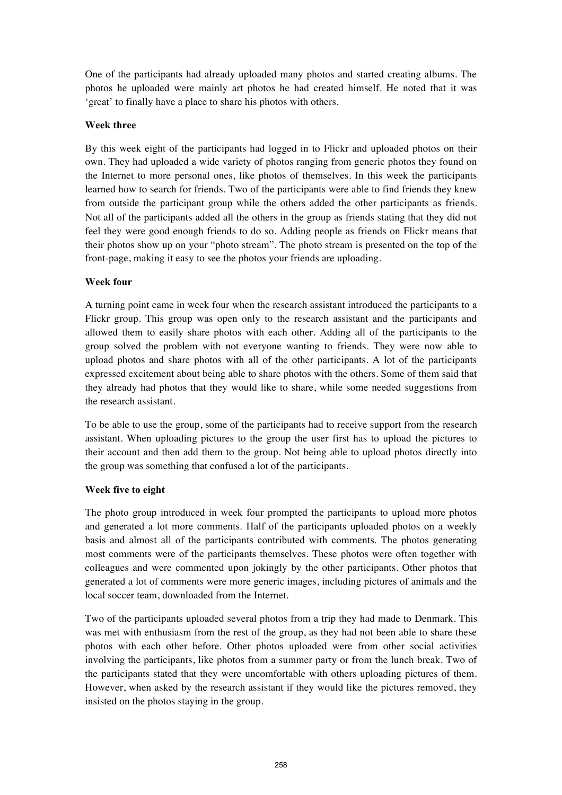One of the participants had already uploaded many photos and started creating albums. The photos he uploaded were mainly art photos he had created himself. He noted that it was 'great' to finally have a place to share his photos with others.

#### **Week three**

By this week eight of the participants had logged in to Flickr and uploaded photos on their own. They had uploaded a wide variety of photos ranging from generic photos they found on the Internet to more personal ones, like photos of themselves. In this week the participants learned how to search for friends. Two of the participants were able to find friends they knew from outside the participant group while the others added the other participants as friends. Not all of the participants added all the others in the group as friends stating that they did not feel they were good enough friends to do so. Adding people as friends on Flickr means that their photos show up on your "photo stream". The photo stream is presented on the top of the front-page, making it easy to see the photos your friends are uploading.

#### **Week four**

A turning point came in week four when the research assistant introduced the participants to a Flickr group. This group was open only to the research assistant and the participants and allowed them to easily share photos with each other. Adding all of the participants to the group solved the problem with not everyone wanting to friends. They were now able to upload photos and share photos with all of the other participants. A lot of the participants expressed excitement about being able to share photos with the others. Some of them said that they already had photos that they would like to share, while some needed suggestions from the research assistant.

To be able to use the group, some of the participants had to receive support from the research assistant. When uploading pictures to the group the user first has to upload the pictures to their account and then add them to the group. Not being able to upload photos directly into the group was something that confused a lot of the participants.

#### **Week five to eight**

The photo group introduced in week four prompted the participants to upload more photos and generated a lot more comments. Half of the participants uploaded photos on a weekly basis and almost all of the participants contributed with comments. The photos generating most comments were of the participants themselves. These photos were often together with colleagues and were commented upon jokingly by the other participants. Other photos that generated a lot of comments were more generic images, including pictures of animals and the local soccer team, downloaded from the Internet.

Two of the participants uploaded several photos from a trip they had made to Denmark. This was met with enthusiasm from the rest of the group, as they had not been able to share these photos with each other before. Other photos uploaded were from other social activities involving the participants, like photos from a summer party or from the lunch break. Two of the participants stated that they were uncomfortable with others uploading pictures of them. However, when asked by the research assistant if they would like the pictures removed, they insisted on the photos staying in the group.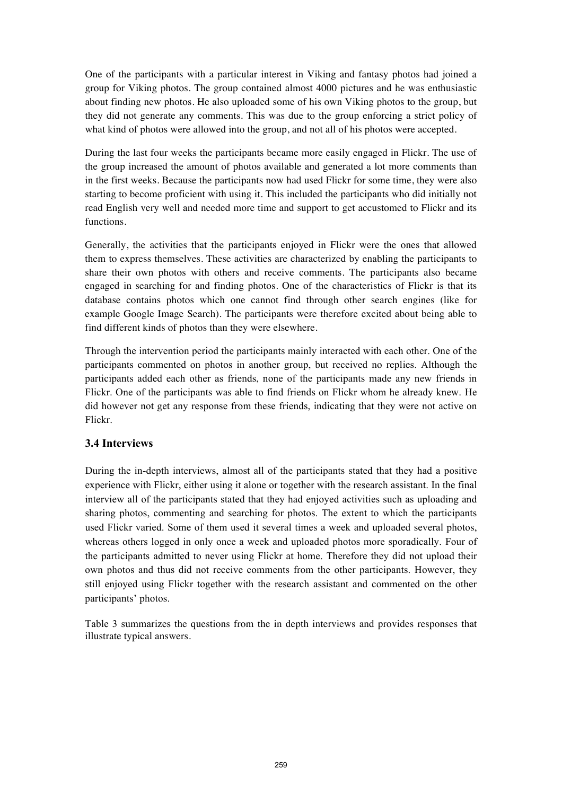One of the participants with a particular interest in Viking and fantasy photos had joined a group for Viking photos. The group contained almost 4000 pictures and he was enthusiastic about finding new photos. He also uploaded some of his own Viking photos to the group, but they did not generate any comments. This was due to the group enforcing a strict policy of what kind of photos were allowed into the group, and not all of his photos were accepted.

During the last four weeks the participants became more easily engaged in Flickr. The use of the group increased the amount of photos available and generated a lot more comments than in the first weeks. Because the participants now had used Flickr for some time, they were also starting to become proficient with using it. This included the participants who did initially not read English very well and needed more time and support to get accustomed to Flickr and its functions.

Generally, the activities that the participants enjoyed in Flickr were the ones that allowed them to express themselves. These activities are characterized by enabling the participants to share their own photos with others and receive comments. The participants also became engaged in searching for and finding photos. One of the characteristics of Flickr is that its database contains photos which one cannot find through other search engines (like for example Google Image Search). The participants were therefore excited about being able to find different kinds of photos than they were elsewhere.

Through the intervention period the participants mainly interacted with each other. One of the participants commented on photos in another group, but received no replies. Although the participants added each other as friends, none of the participants made any new friends in Flickr. One of the participants was able to find friends on Flickr whom he already knew. He did however not get any response from these friends, indicating that they were not active on Flickr.

#### **3.4 Interviews**

During the in-depth interviews, almost all of the participants stated that they had a positive experience with Flickr, either using it alone or together with the research assistant. In the final interview all of the participants stated that they had enjoyed activities such as uploading and sharing photos, commenting and searching for photos. The extent to which the participants used Flickr varied. Some of them used it several times a week and uploaded several photos, whereas others logged in only once a week and uploaded photos more sporadically. Four of the participants admitted to never using Flickr at home. Therefore they did not upload their own photos and thus did not receive comments from the other participants. However, they still enjoyed using Flickr together with the research assistant and commented on the other participants' photos.

Table 3 summarizes the questions from the in depth interviews and provides responses that illustrate typical answers.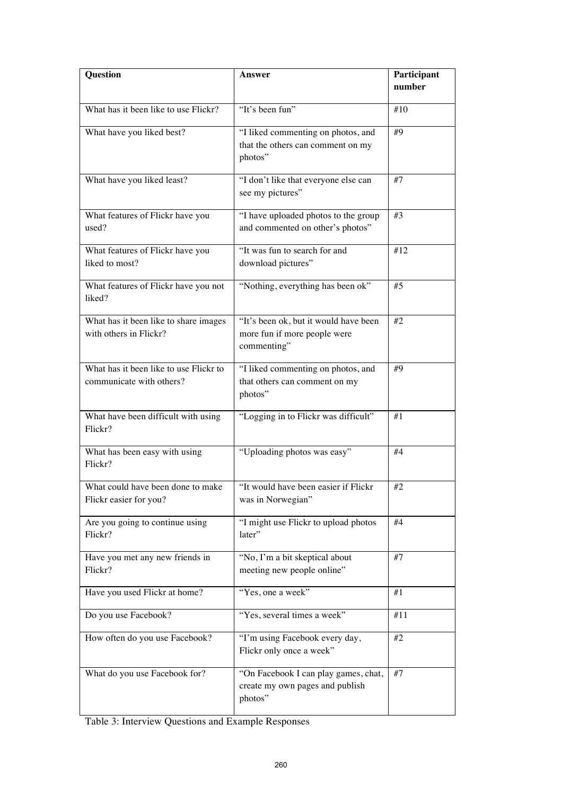| Question                                                           | Answer                                                                               | Participant<br>number |
|--------------------------------------------------------------------|--------------------------------------------------------------------------------------|-----------------------|
| What has it been like to use Flickr?                               | "It's been fun"                                                                      | #10                   |
| What have you liked best?                                          | "I liked commenting on photos, and<br>that the others can comment on my<br>photos"   | #9                    |
| What have you liked least?                                         | "I don't like that everyone else can<br>see my pictures"                             | #7                    |
| What features of Flickr have you<br>used?                          | "I have uploaded photos to the group<br>and commented on other's photos"             | #3                    |
| What features of Flickr have you<br>liked to most?                 | "It was fun to search for and<br>download pictures"                                  | #12                   |
| What features of Flickr have you not<br>liked?                     | "Nothing, everything has been ok"                                                    | #5                    |
| What has it been like to share images<br>with others in Flickr?    | "It's been ok, but it would have been<br>more fun if more people were<br>commenting" | #2                    |
| What has it been like to use Flickr to<br>communicate with others? | "I liked commenting on photos, and<br>that others can comment on my<br>photos"       | #9                    |
| What have been difficult with using<br>Flickr?                     | "Logging in to Flickr was difficult"                                                 | #1                    |
| What has been easy with using<br>Flickr?                           | "Uploading photos was easy"                                                          | #4                    |
| What could have been done to make<br>Flickr easier for you?        | "It would have been easier if Flickr<br>was in Norwegian"                            | #2                    |
| Are you going to continue using<br>Flickr?                         | "I might use Flickr to upload photos<br>later"                                       | #4                    |
| Have you met any new friends in<br>Flickr?                         | "No, I'm a bit skeptical about<br>meeting new people online"                         | #7                    |
| Have you used Flickr at home?                                      | "Yes, one a week"                                                                    | #1                    |
| Do you use Facebook?                                               | "Yes, several times a week"                                                          | #11                   |
| How often do you use Facebook?                                     | "I'm using Facebook every day,<br>Flickr only once a week"                           | #2                    |
| What do you use Facebook for?                                      | "On Facebook I can play games, chat,<br>create my own pages and publish<br>photos"   | #7                    |

Table 3: Interview Questions and Example Responses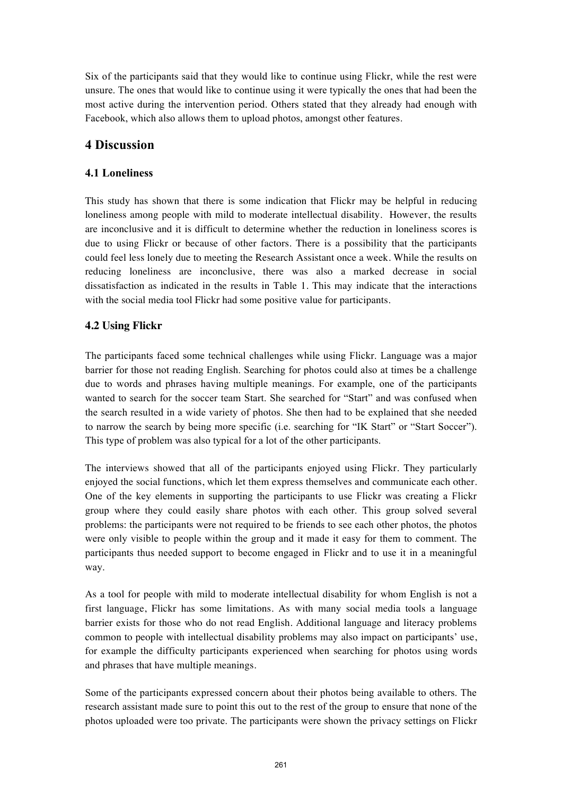Six of the participants said that they would like to continue using Flickr, while the rest were unsure. The ones that would like to continue using it were typically the ones that had been the most active during the intervention period. Others stated that they already had enough with Facebook, which also allows them to upload photos, amongst other features.

# **4 Discussion**

## **4.1 Loneliness**

This study has shown that there is some indication that Flickr may be helpful in reducing loneliness among people with mild to moderate intellectual disability. However, the results are inconclusive and it is difficult to determine whether the reduction in loneliness scores is due to using Flickr or because of other factors. There is a possibility that the participants could feel less lonely due to meeting the Research Assistant once a week. While the results on reducing loneliness are inconclusive, there was also a marked decrease in social dissatisfaction as indicated in the results in Table 1. This may indicate that the interactions with the social media tool Flickr had some positive value for participants.

# **4.2 Using Flickr**

The participants faced some technical challenges while using Flickr. Language was a major barrier for those not reading English. Searching for photos could also at times be a challenge due to words and phrases having multiple meanings. For example, one of the participants wanted to search for the soccer team Start. She searched for "Start" and was confused when the search resulted in a wide variety of photos. She then had to be explained that she needed to narrow the search by being more specific (i.e. searching for "IK Start" or "Start Soccer"). This type of problem was also typical for a lot of the other participants.

The interviews showed that all of the participants enjoyed using Flickr. They particularly enjoyed the social functions, which let them express themselves and communicate each other. One of the key elements in supporting the participants to use Flickr was creating a Flickr group where they could easily share photos with each other. This group solved several problems: the participants were not required to be friends to see each other photos, the photos were only visible to people within the group and it made it easy for them to comment. The participants thus needed support to become engaged in Flickr and to use it in a meaningful way.

As a tool for people with mild to moderate intellectual disability for whom English is not a first language, Flickr has some limitations. As with many social media tools a language barrier exists for those who do not read English. Additional language and literacy problems common to people with intellectual disability problems may also impact on participants' use, for example the difficulty participants experienced when searching for photos using words and phrases that have multiple meanings.

Some of the participants expressed concern about their photos being available to others. The research assistant made sure to point this out to the rest of the group to ensure that none of the photos uploaded were too private. The participants were shown the privacy settings on Flickr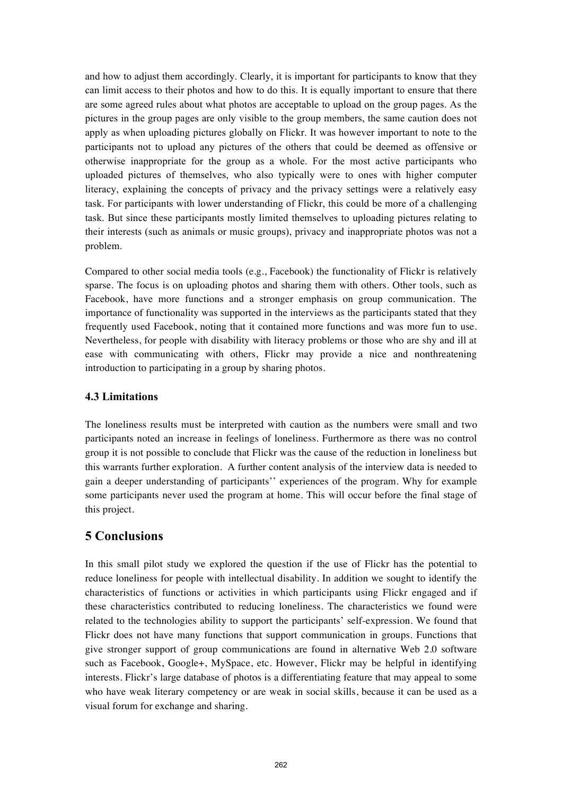and how to adjust them accordingly. Clearly, it is important for participants to know that they can limit access to their photos and how to do this. It is equally important to ensure that there are some agreed rules about what photos are acceptable to upload on the group pages. As the pictures in the group pages are only visible to the group members, the same caution does not apply as when uploading pictures globally on Flickr. It was however important to note to the participants not to upload any pictures of the others that could be deemed as offensive or otherwise inappropriate for the group as a whole. For the most active participants who uploaded pictures of themselves, who also typically were to ones with higher computer literacy, explaining the concepts of privacy and the privacy settings were a relatively easy task. For participants with lower understanding of Flickr, this could be more of a challenging task. But since these participants mostly limited themselves to uploading pictures relating to their interests (such as animals or music groups), privacy and inappropriate photos was not a problem.

Compared to other social media tools (e.g., Facebook) the functionality of Flickr is relatively sparse. The focus is on uploading photos and sharing them with others. Other tools, such as Facebook, have more functions and a stronger emphasis on group communication. The importance of functionality was supported in the interviews as the participants stated that they frequently used Facebook, noting that it contained more functions and was more fun to use. Nevertheless, for people with disability with literacy problems or those who are shy and ill at ease with communicating with others, Flickr may provide a nice and nonthreatening introduction to participating in a group by sharing photos.

#### **4.3 Limitations**

The loneliness results must be interpreted with caution as the numbers were small and two participants noted an increase in feelings of loneliness. Furthermore as there was no control group it is not possible to conclude that Flickr was the cause of the reduction in loneliness but this warrants further exploration. A further content analysis of the interview data is needed to gain a deeper understanding of participants'' experiences of the program. Why for example some participants never used the program at home. This will occur before the final stage of this project.

# **5 Conclusions**

In this small pilot study we explored the question if the use of Flickr has the potential to reduce loneliness for people with intellectual disability. In addition we sought to identify the characteristics of functions or activities in which participants using Flickr engaged and if these characteristics contributed to reducing loneliness. The characteristics we found were related to the technologies ability to support the participants' self-expression. We found that Flickr does not have many functions that support communication in groups. Functions that give stronger support of group communications are found in alternative Web 2.0 software such as Facebook, Google+, MySpace, etc. However, Flickr may be helpful in identifying interests. Flickr's large database of photos is a differentiating feature that may appeal to some who have weak literary competency or are weak in social skills, because it can be used as a visual forum for exchange and sharing.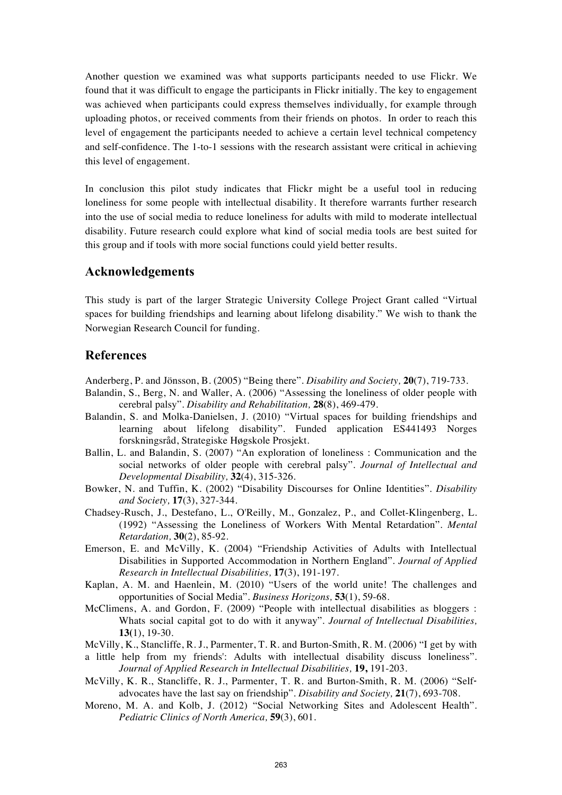Another question we examined was what supports participants needed to use Flickr. We found that it was difficult to engage the participants in Flickr initially. The key to engagement was achieved when participants could express themselves individually, for example through uploading photos, or received comments from their friends on photos. In order to reach this level of engagement the participants needed to achieve a certain level technical competency and self-confidence. The 1-to-1 sessions with the research assistant were critical in achieving this level of engagement.

In conclusion this pilot study indicates that Flickr might be a useful tool in reducing loneliness for some people with intellectual disability. It therefore warrants further research into the use of social media to reduce loneliness for adults with mild to moderate intellectual disability. Future research could explore what kind of social media tools are best suited for this group and if tools with more social functions could yield better results.

# **Acknowledgements**

This study is part of the larger Strategic University College Project Grant called "Virtual spaces for building friendships and learning about lifelong disability." We wish to thank the Norwegian Research Council for funding.

# **References**

- Anderberg, P. and Jönsson, B. (2005) "Being there". *Disability and Society,* **20**(7), 719-733.
- Balandin, S., Berg, N. and Waller, A. (2006) "Assessing the loneliness of older people with cerebral palsy". *Disability and Rehabilitation,* **28**(8), 469-479.
- Balandin, S. and Molka-Danielsen, J. (2010) "Virtual spaces for building friendships and learning about lifelong disability". Funded application ES441493 Norges forskningsråd, Strategiske Høgskole Prosjekt.
- Ballin, L. and Balandin, S. (2007) "An exploration of loneliness : Communication and the social networks of older people with cerebral palsy". *Journal of Intellectual and Developmental Disability,* **32**(4), 315-326.
- Bowker, N. and Tuffin, K. (2002) "Disability Discourses for Online Identities". *Disability and Society,* **17**(3), 327-344.
- Chadsey-Rusch, J., Destefano, L., O'Reilly, M., Gonzalez, P., and Collet-Klingenberg, L. (1992) "Assessing the Loneliness of Workers With Mental Retardation". *Mental Retardation,* **30**(2), 85-92.
- Emerson, E. and McVilly, K. (2004) "Friendship Activities of Adults with Intellectual Disabilities in Supported Accommodation in Northern England". *Journal of Applied Research in Intellectual Disabilities,* **17**(3), 191-197.
- Kaplan, A. M. and Haenlein, M. (2010) "Users of the world unite! The challenges and opportunities of Social Media". *Business Horizons,* **53**(1), 59-68.
- McClimens, A. and Gordon, F. (2009) "People with intellectual disabilities as bloggers : Whats social capital got to do with it anyway". *Journal of Intellectual Disabilities,*  **13(**1), 19-30.
- McVilly, K., Stancliffe, R. J., Parmenter, T. R. and Burton-Smith, R. M. (2006) "I get by with
- a little help from my friends': Adults with intellectual disability discuss loneliness". *Journal of Applied Research in Intellectual Disabilities,* **19,** 191-203.
- McVilly, K. R., Stancliffe, R. J., Parmenter, T. R. and Burton-Smith, R. M. (2006) "Selfadvocates have the last say on friendship". *Disability and Society,* **21**(7), 693-708.
- Moreno, M. A. and Kolb, J. (2012) "Social Networking Sites and Adolescent Health". *Pediatric Clinics of North America,* **59**(3), 601.